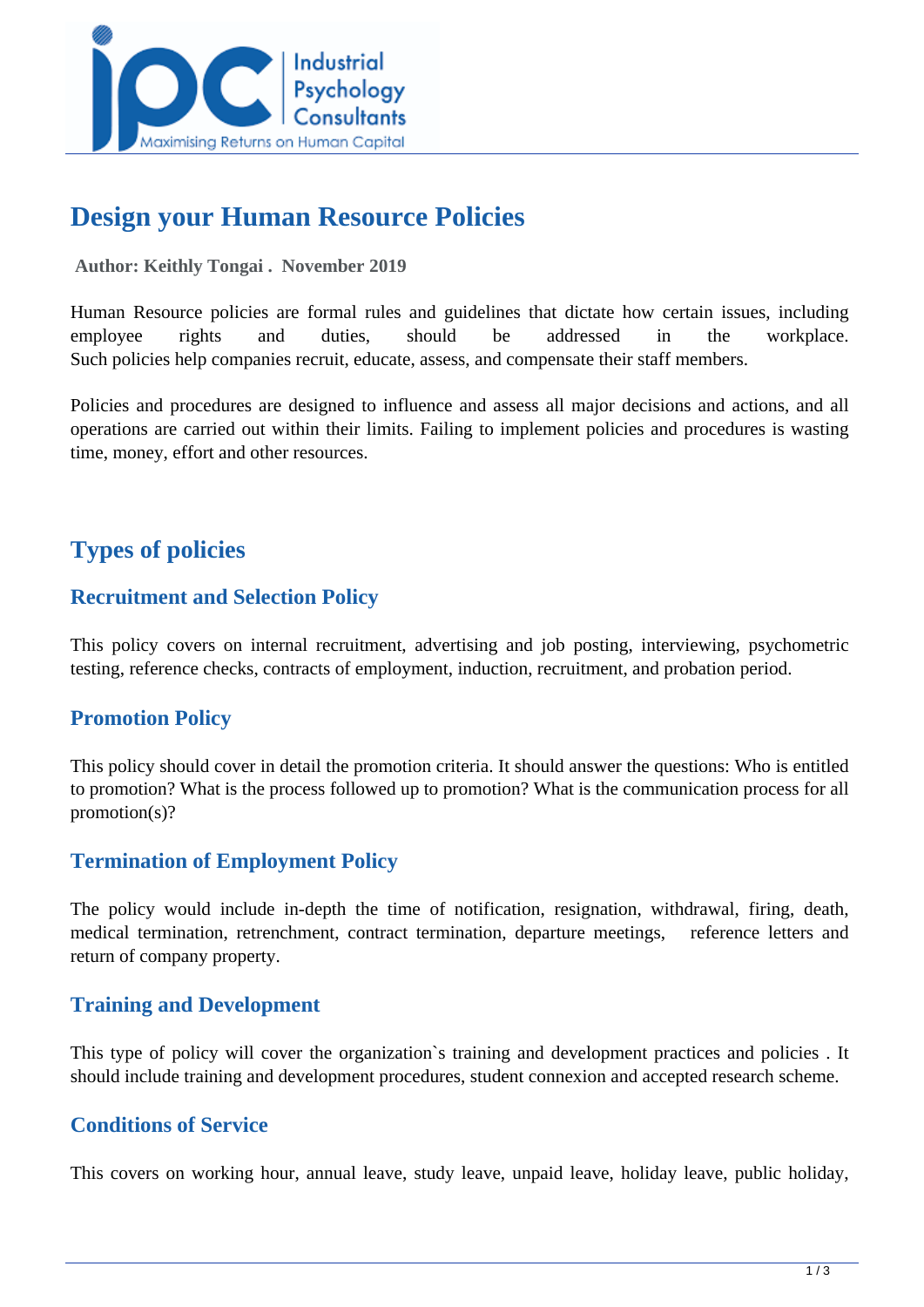

# **Design your Human Resource Policies**

#### **Author: Keithly Tongai . November 2019**

Human Resource policies are formal rules and guidelines that dictate how certain issues, including employee rights and duties, should be addressed in the workplace. Such policies help companies recruit, educate, assess, and compensate their staff members.

Policies and procedures are designed to influence and assess all major decisions and actions, and all operations are carried out within their limits. Failing to implement policies and procedures is wasting time, money, effort and other resources.

## **Types of policies**

## **Recruitment and Selection Policy**

This policy covers on internal recruitment, advertising and job posting, interviewing, psychometric testing, reference checks, contracts of employment, induction, recruitment, and probation period.

## **Promotion Policy**

This policy should cover in detail the promotion criteria. It should answer the questions: Who is entitled to promotion? What is the process followed up to promotion? What is the communication process for all promotion(s)?

## **Termination of Employment Policy**

The policy would include in-depth the time of notification, resignation, withdrawal, firing, death, medical termination, retrenchment, contract termination, departure meetings, reference letters and return of company property.

## **Training and Development**

This type of policy will cover the organization`s training and development practices and policies . It should include training and development procedures, student connexion and accepted research scheme.

## **Conditions of Service**

This covers on working hour, annual leave, study leave, unpaid leave, holiday leave, public holiday,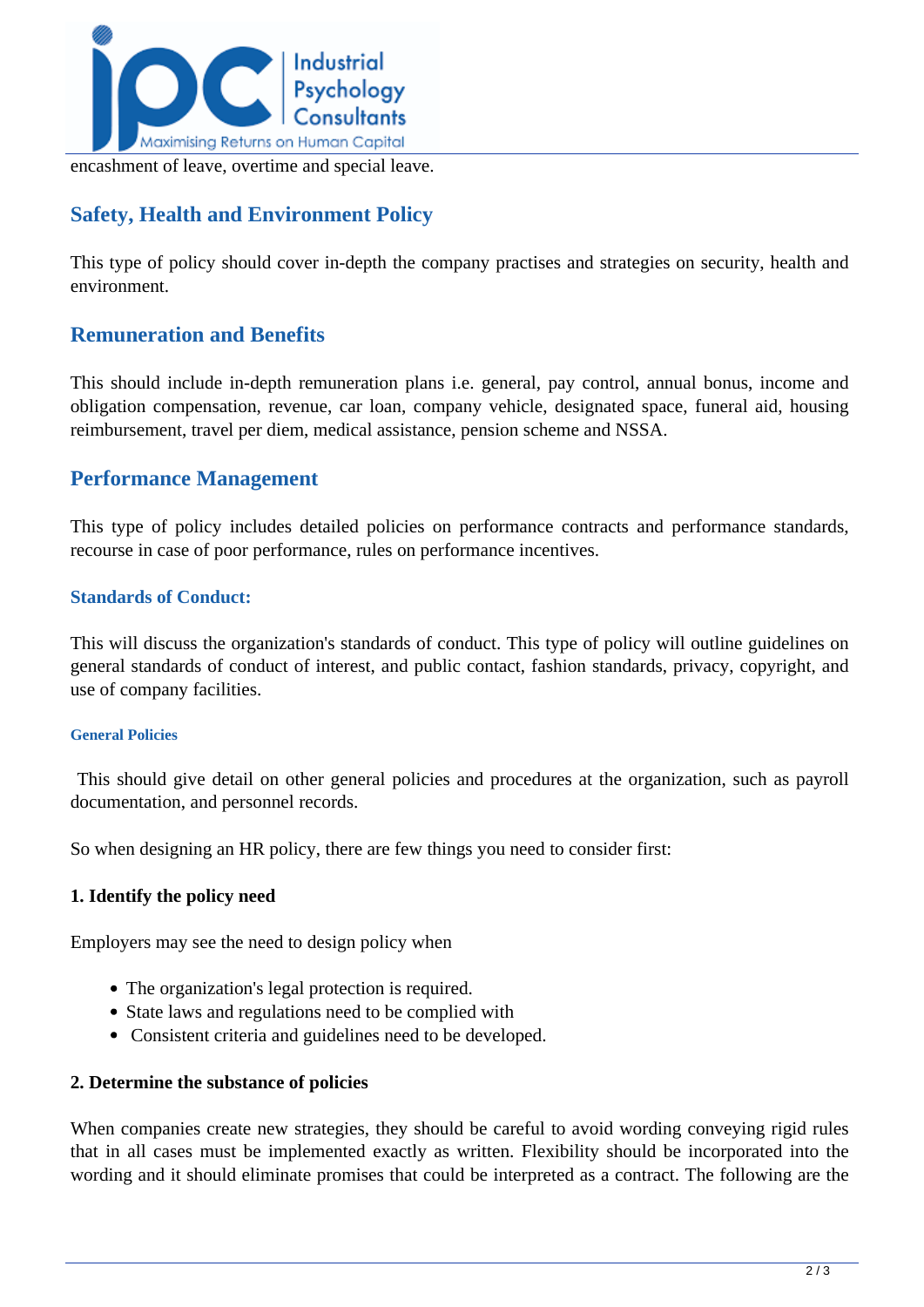

encashment of leave, overtime and special leave.

## **Safety, Health and Environment Policy**

This type of policy should cover in-depth the company practises and strategies on security, health and environment.

## **Remuneration and Benefits**

This should include in-depth remuneration plans i.e. general, pay control, annual bonus, income and obligation compensation, revenue, car loan, company vehicle, designated space, funeral aid, housing reimbursement, travel per diem, medical assistance, pension scheme and NSSA.

## **Performance Management**

This type of policy includes detailed policies on performance contracts and performance standards, recourse in case of poor performance, rules on performance incentives.

#### **Standards of Conduct:**

This will discuss the organization's standards of conduct. This type of policy will outline guidelines on general standards of conduct of interest, and public contact, fashion standards, privacy, copyright, and use of company facilities.

#### **General Policies**

 This should give detail on other general policies and procedures at the organization, such as payroll documentation, and personnel records.

So when designing an HR policy, there are few things you need to consider first:

#### **1. Identify the policy need**

Employers may see the need to design policy when

- The organization's legal protection is required.
- State laws and regulations need to be complied with
- Consistent criteria and guidelines need to be developed.

#### **2. Determine the substance of policies**

When companies create new strategies, they should be careful to avoid wording conveying rigid rules that in all cases must be implemented exactly as written. Flexibility should be incorporated into the wording and it should eliminate promises that could be interpreted as a contract. The following are the